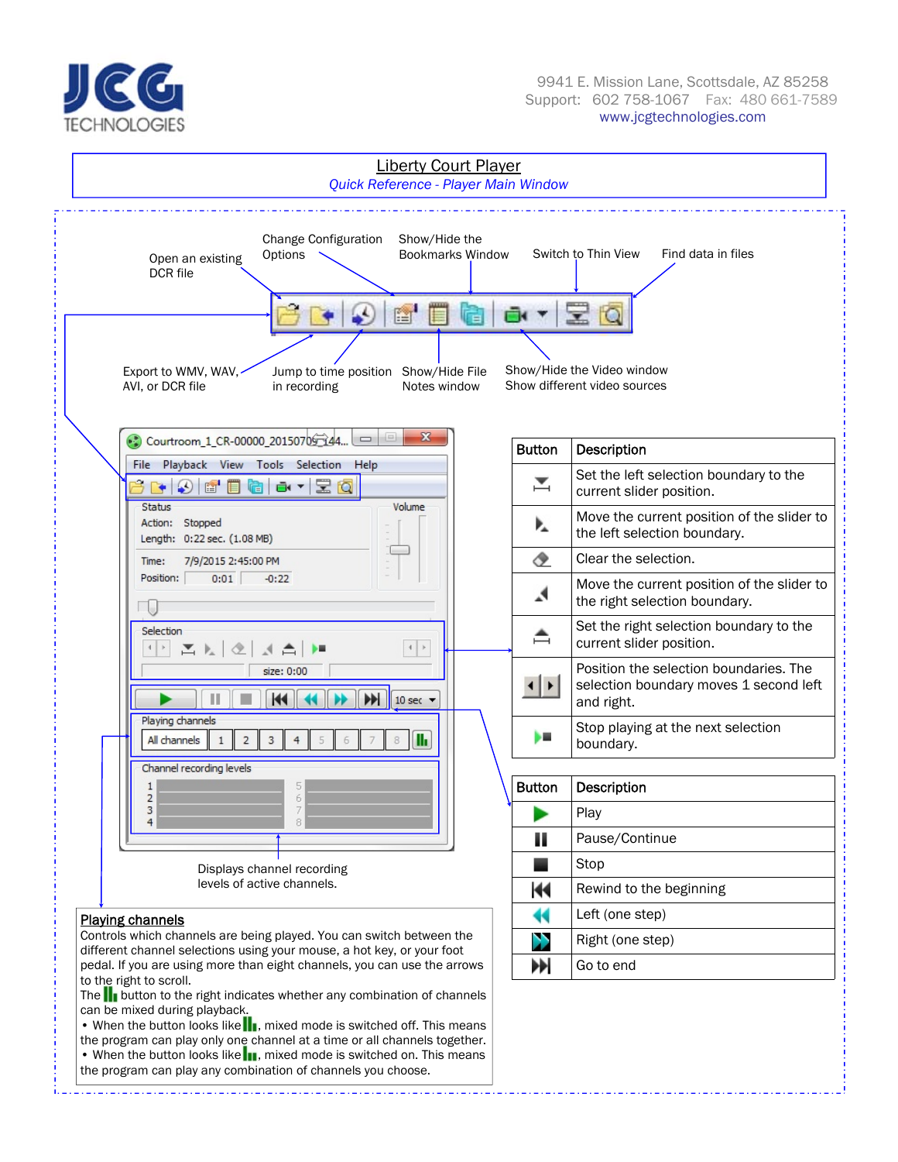

#### 9941 E. Mission Lane, Scottsdale, AZ 85258 Support: 602 758-1067 Fax: 480 661-7589 www.jcgtechnologies.com